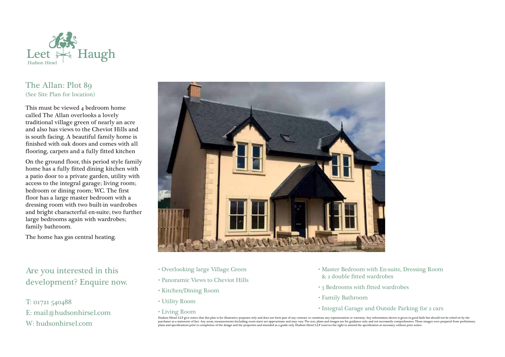

## The Allan: Plot 89 (See Site Plan for location)

This must be viewed 4 bedroom home called The Allan overlooks a lovely traditional village green of nearly an acre and also has views to the Cheviot Hills and is south facing. A beautiful family home is finished with oak doors and comes with all flooring, carpets and a fully fitted kitchen

On the ground floor, this period style family home has a fully fitted dining kitchen with a patio door to a private garden, utility with access to the integral garage; living room; bedroom or dining room; WC. The first floor has a large master bedroom with a dressing room with two built-in wardrobes and bright characterful en-suite; two further large bedrooms again with wardrobes; family bathroom.

The home has gas central heating.

Are you interested in this development? Enquire now.

T: 01721 540488 E: mail@hudsonhirsel.com W: hudsonhirsel.com



- Overlooking large Village Green
- Panoramic Views to Cheviot Hills
- Kitchen/Dining Room
- Utility Room
- Living Room
- Master Bedroom with En-suite, Dressing Room & 2 double fitted wardrobes
- 3 Bedrooms with fitted wardrobes
- Family Bathroom
- Integral Garage and Outside Parking for 2 cars

Hudson Hirsel LLP give notice that this plan is for illustrative purposes only and does not form part of any contract or constitute any representation or warranty. Any information shown is given in good faith but should no purchaser as a statement of fact. Any areas, measurements (including room sizes) are approximate and may vary. The text, plans and images are for guidance only and not necessarily comprehensive. These images were prepared